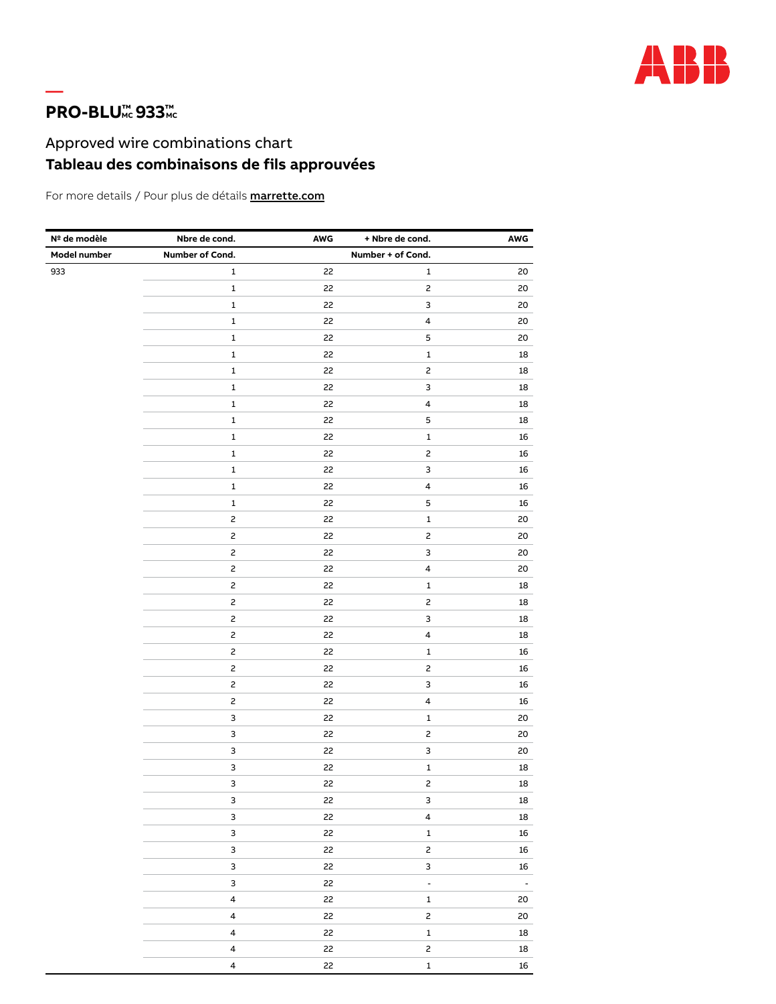

## **PRO-BLU<sup>™</sup> 933**<sup>™</sup>

—

## Approved wire combinations chart **Tableau des combinaisons de fils approuvées**

For more details / Pour plus de détails **marrette.com** 

| Nº de modèle | Nbre de cond.           | AWG | + Nbre de cond.           | AWG        |
|--------------|-------------------------|-----|---------------------------|------------|
| Model number | Number of Cond.         |     | Number + of Cond.         |            |
| 933          | 1                       | 22  | 1                         | 20         |
|              | $\mathbf 1$             | 22  | $\mathsf{S}$              | 20         |
|              | $\mathbf 1$             | 22  | $\ensuremath{\mathsf{3}}$ | 20         |
|              | $\mathbf 1$             | 22  | $\overline{\mathbf{4}}$   | 20         |
|              | $\mathbf 1$             | 22  | $\mathbf 5$               | 20         |
|              | $\mathbf 1$             | 22  | $\mathbf 1$               | 18         |
|              | $\mathbf 1$             | 22  | $\mathsf{S}$              | 18         |
|              | $\mathbf 1$             | 22  | $\ensuremath{\mathsf{3}}$ | 18         |
|              | $\mathbf 1$             | 22  | $\pmb{4}$                 | 18         |
|              | $\mathbf 1$             | 22  | $\mathbf 5$               | 18         |
|              | $\mathbf 1$             | 22  | $\mathbf 1$               | 16         |
|              | $\mathbf 1$             | 22  | $\mathsf{S}$              | 16         |
|              | $\mathbf 1$             | 22  | 3                         | 16         |
|              | $\mathbf 1$             | 22  | $\overline{\mathbf{4}}$   | 16         |
|              | $\mathbf 1$             | 22  | $\mathbf 5$               | 16         |
|              | $\mathsf{S}$            | 22  | $\mathbf 1$               | 20         |
|              | $\mathsf{S}$            | 22  | $\mathsf{S}$              | 20         |
|              | $\mathsf{S}$            | 22  | 3                         | 20         |
|              | $\mathsf{S}$            | 22  | $\pmb{4}$                 | 20         |
|              | $\mathsf{S}$            | 22  | $\mathbf 1$               | 18         |
|              | $\mathsf{S}$            | 22  | $\overline{c}$            | 18         |
|              | $\mathsf{S}$            | 22  | 3                         | 18         |
|              | $\mathsf{S}$            | 22  | $\pmb{4}$                 | 18         |
|              | 2                       | 22  | $\mathbf 1$               | 16         |
|              | $\mathsf{S}$            | 22  | $\mathsf{S}$              | 16         |
|              | $\mathsf{S}$            | 22  | 3                         | 16         |
|              | $\overline{c}$          | 22  | $\overline{\mathbf{4}}$   | 16         |
|              | 3                       | 22  | $\mathbf 1$               | 20         |
|              | 3                       | 22  | $\mathsf{S}$              | 20         |
|              | 3                       | 22  | 3                         | 20         |
|              | 3                       | 22  | $\mathbf 1$               | 18         |
|              | 3                       | 22  | $\mathsf{S}$              | 18         |
|              | 3                       | 22  | 3                         | ${\bf 18}$ |
|              | $\mathbf{3}$            | 22  | 4                         | 18         |
|              | $\mathsf 3$             | 22  | $\mathbf{1}$              | 16         |
|              | 3                       | 22  | $\mathsf{S}$              | ${\bf 16}$ |
|              | $\mathsf 3$             | 22  | $\mathsf{3}$              | 16         |
|              | $\mathsf{3}$            | 22  | ÷                         | $\omega$   |
|              | $\overline{\mathbf{4}}$ | 22  | $\mathbf{1}$              | 20         |
|              | $\overline{4}$          | 22  | $\mathsf{S}$              | 20         |
|              | $\overline{4}$          | 22  | $\mathbf 1$               | $18\,$     |
|              | $\overline{4}$          | 22  | $\mathsf{S}$              | ${\bf 18}$ |
|              | $\pmb{4}$               | 22  | $\mathbf 1$               | 16         |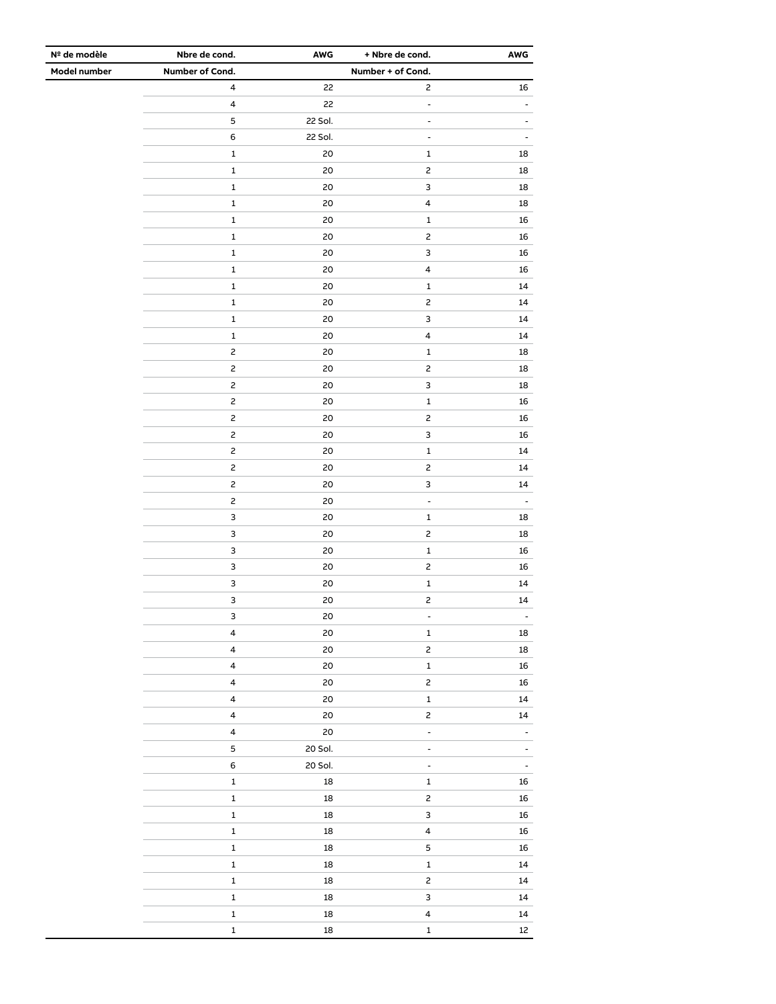| Nº de modèle | Nbre de cond.             | AWG        | + Nbre de cond.         | AWG                      |
|--------------|---------------------------|------------|-------------------------|--------------------------|
| Model number | Number of Cond.           |            | Number + of Cond.       |                          |
|              | $\overline{\mathbf{4}}$   | 22         | $\overline{c}$          | 16                       |
|              | $\pmb{4}$                 | 22         | ÷,                      | $\overline{a}$           |
|              | $\mathbf 5$               | 22 Sol.    | -                       |                          |
|              | 6                         | 22 Sol.    | $\blacksquare$          |                          |
|              | $\mathbf 1$               | 20         | $\mathbf 1$             | 18                       |
|              | 1                         | 20         | 2                       | 18                       |
|              | $\mathbf 1$               | 20         | 3                       | 18                       |
|              | $\mathbf 1$               | 20         | $\overline{\mathbf{4}}$ | 18                       |
|              | $\mathbf 1$               | 20         | $\mathbf 1$             | 16                       |
|              | $\mathbf 1$               | 20         | $\overline{c}$          | 16                       |
|              | $\mathbf 1$               | 20         | 3                       | 16                       |
|              | $\mathbf 1$               | 20         | $\pmb{4}$               | 16                       |
|              | $\mathbf 1$               | 20         | $\mathbf 1$             | 14                       |
|              | $\mathbf 1$               | 20         | $\mathsf{S}$            | 14                       |
|              | $\mathbf 1$               | 20         | 3                       | 14                       |
|              | 1                         | 20         | $\overline{\mathbf{4}}$ | 14                       |
|              | $\mathsf{S}$              | 20         | $\mathbf 1$             | 18                       |
|              | $\overline{c}$            | 20         | $\overline{c}$          | 18                       |
|              | $\mathsf{S}$              | 20         | 3                       | 18                       |
|              | $\mathsf{S}$              | 20         | $\mathbf 1$             | 16                       |
|              | $\mathsf{S}$              | 20         | $\overline{c}$          | 16                       |
|              | $\mathsf{S}$              | 20         | 3                       | 16                       |
|              | $\mathsf{S}$              | 20         | $\mathbf 1$             | 14                       |
|              | $\mathsf{S}$              | 20         | $\overline{c}$          | 14                       |
|              | $\overline{c}$            | 20         | 3                       | 14                       |
|              | $\mathsf{S}$              | 20         | $\overline{a}$          | $\overline{a}$           |
|              | $\ensuremath{\mathsf{3}}$ | 20         | $\mathbf 1$             | 18                       |
|              | $\ensuremath{\mathsf{3}}$ | 20         | $\overline{c}$          | 18                       |
|              | 3                         | 20         | $\mathbf 1$             | 16                       |
|              | $\ensuremath{\mathsf{3}}$ | 20         | $\mathsf{S}$            | 16                       |
|              | $\ensuremath{\mathsf{3}}$ | 20         | $\mathbf 1$             | 14                       |
|              | 3                         | 20         | $\overline{c}$          | 14                       |
|              | 3                         | 20         |                         |                          |
|              | $\overline{\mathbf{4}}$   | 20         | $\mathbf 1$             | 18                       |
|              | $\overline{\mathbf{4}}$   | 20         | $\mathsf{S}$            | 18                       |
|              | $\overline{4}$            | 20         | $\mathbf 1$             | 16                       |
|              | $\overline{4}$            | 20         | $\mathsf{S}$            | 16                       |
|              | $\overline{4}$            | 20         | $\mathbf{1}$            | 14                       |
|              | $\overline{\mathbf{4}}$   | 20         | $\overline{c}$          | 14                       |
|              | $\overline{4}$            | 20         | $\blacksquare$          | $\frac{1}{2}$            |
|              | 5                         | 20 Sol.    | $\blacksquare$          | $\overline{\phantom{a}}$ |
|              | 6                         | 20 Sol.    | $\blacksquare$          | $\blacksquare$           |
|              | $\mathbf 1$               | $18\,$     | $\mathbf 1$             | 16                       |
|              | $\mathbf 1$               | 18         | $\mathsf{S}$            | 16                       |
|              | $\mathbf 1$               | $18\,$     | $\mathbf{3}$            | 16                       |
|              | $\mathbf 1$               | ${\bf 18}$ | $\overline{\mathbf{4}}$ | $16\,$                   |
|              | $\mathbf 1$               | 18         | $\overline{5}$          | 16                       |
|              | $\mathbf 1$               | $18\,$     | $\mathbf 1$             | 14                       |
|              | $\mathbf 1$               | $18\,$     | $\mathbf{2}$            | 14                       |
|              | $\mathbf 1$               | $18\,$     | $\mathbf{3}$            | 14                       |
|              | $\mathbf 1$               | $18\,$     | $\overline{4}$          | $\bf{14}$                |
|              | $\mathbf 1$               | 18         | $\mathbf 1$             | $12\,$                   |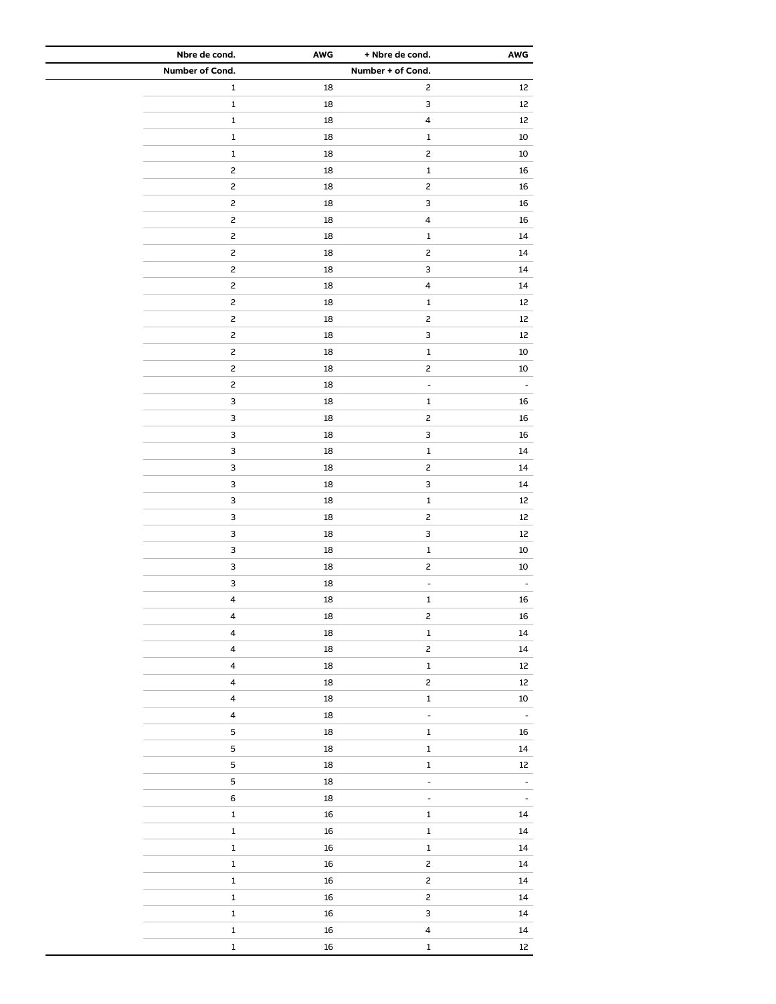| Nbre de cond.           | AWG        | + Nbre de cond.           | AWG               |
|-------------------------|------------|---------------------------|-------------------|
| Number of Cond.         |            | Number + of Cond.         |                   |
| $\mathbf 1$             | 18         | $\mathsf{S}$              | 12                |
| $\mathbf 1$             | 18         | $\ensuremath{\mathsf{3}}$ | 12                |
| $\mathbf 1$             | 18         | $\overline{\mathbf{4}}$   | $12\,$            |
| $\mathbf 1$             | 18         | $\mathbf 1$               | $10\,$            |
| $\mathbf 1$             | 18         | $\overline{c}$            | $10\,$            |
| $\mathsf{S}$            | 18         | $\mathbf 1$               | 16                |
| $\mathsf{S}$            | 18         | $\mathsf{S}$              | ${\bf 16}$        |
| $\mathsf{S}$            | 18         | $\ensuremath{\mathsf{3}}$ | 16                |
| $\mathsf{S}$            | 18         | $\overline{\mathbf{4}}$   | ${\bf 16}$        |
| $\mathsf{S}$            | 18         | $\mathbf 1$               | 14                |
| $\mathsf{S}$            | 18         | $\mathsf{S}$              | 14                |
| $\mathsf{S}$            | 18         | 3                         | 14                |
| $\mathsf{S}$            | 18         | $\overline{\mathbf{4}}$   | $14\,$            |
| $\mathsf{S}$            | 18         | $\mathbf 1$               | 12                |
| $\mathsf{S}$            | 18         | $\mathsf{S}$              | 12                |
| $\mathsf{S}$            | 18         | $\ensuremath{\mathsf{3}}$ | $12\,$            |
| $\mathsf{S}$            | 18         | $\mathbf 1$               |                   |
|                         |            |                           | $10\,$            |
| $\mathsf{S}$            | 18         | $\overline{c}$            | 10                |
| $\mathsf{S}$            | 18         | $\overline{a}$            | $\blacksquare$    |
| 3                       | 18         | $\mathbf 1$               | 16                |
| 3                       | 18         | $\mathsf{S}$              | 16                |
| 3                       | 18         | $\ensuremath{\mathsf{3}}$ | 16                |
| 3                       | 18         | $\mathbf 1$               | $14\,$            |
| 3                       | 18         | $\overline{c}$            | $14\,$            |
| 3                       | 18         | $\mathsf 3$               | $14\,$            |
| 3                       | 18         | $\mathbf 1$               | $12\,$            |
| 3                       | 18         | $\mathsf{S}$              | 12                |
| 3                       | 18         | $\ensuremath{\mathsf{3}}$ | 12                |
| 3                       | 18         | $\mathbf 1$               | $10\,$            |
| 3                       | 18         | $\mathsf{S}$              | 10                |
| 3                       | 18         | $\blacksquare$            | ÷,                |
| $\pmb{4}$               | 18         | $\mathbf 1$               | 16                |
| 4                       | 18         | 2                         | 16                |
| $\overline{\mathbf{4}}$ | 18         | $\mathbf 1$               | $14\,$            |
| $\overline{\mathbf{4}}$ | ${\bf 18}$ | $\overline{c}$            | 14                |
| $\overline{\mathbf{4}}$ | ${\bf 18}$ | $\mathbf 1$               | $12\,$            |
| $\overline{\mathbf{4}}$ | ${\bf 18}$ | $\mathsf{S}$              | 12                |
| $\overline{\mathbf{4}}$ | ${\bf 18}$ | $\mathbf 1$               | $10\,$            |
| $\overline{\mathbf{4}}$ | ${\bf 18}$ | $\overline{\phantom{a}}$  | $\Box$            |
| $\mathsf S$             | 18         | $\mathbf 1$               | 16                |
| 5                       | ${\bf 18}$ | $\mathbf 1$               | 14                |
| 5                       | ${\bf 18}$ | $\mathbf 1$               | $12 \overline{ }$ |
| 5                       | 18         | $\overline{\phantom{a}}$  | ۰                 |
| 6                       | 18         | $\Box$                    | $\blacksquare$    |
| $\mathbf 1$             | 16         | $\mathbf 1$               | 14                |
| $\mathbf 1$             | 16         | $\mathbf 1$               | $14\,$            |
| $\mathbf 1$             | 16         | $\mathbf 1$               | $14\,$            |
| $\mathbf 1$             | 16         | $\mathsf{S}$              | 14                |
| $\mathbf 1$             | 16         | $\overline{c}$            | 14                |
| $\mathbf 1$             | ${\bf 16}$ | $\overline{c}$            | $14\,$            |
| $\mathbf 1$             |            | $\mathsf{3}$              | $14\,$            |
| $\mathbf 1$             | 16         | $\overline{\mathbf{4}}$   | 14                |
|                         | 16         |                           |                   |
| $\mathbf 1$             | 16         | $\mathbf 1$               | $12\,$            |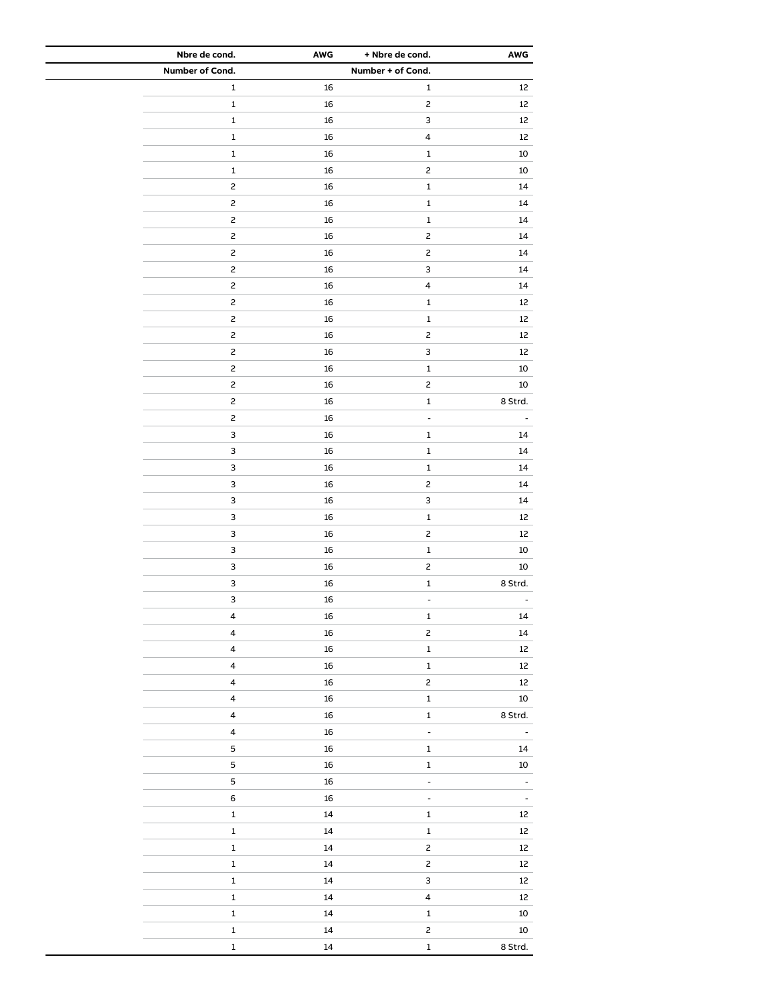| Nbre de cond.           | AWG        | + Nbre de cond.           | AWG            |
|-------------------------|------------|---------------------------|----------------|
| Number of Cond.         |            | Number + of Cond.         |                |
| $\mathbf 1$             | 16         | $\mathbf 1$               | 12             |
| $\mathbf 1$             | 16         | $\mathsf{S}$              | 12             |
| $\mathbf 1$             | 16         | $\mathsf 3$               | 12             |
| $\mathbf 1$             | 16         | $\pmb{4}$                 | 12             |
| $\mathbf 1$             | 16         | $\mathbf 1$               | $10\,$         |
| $\mathbf 1$             | 16         | $\overline{c}$            | 10             |
| $\overline{c}$          | 16         | $\mathbf 1$               | $14\,$         |
| $\mathsf{S}$            | 16         | $\mathbf 1$               | $14\,$         |
| $\mathsf{S}$            | 16         | $\mathbf 1$               | 14             |
| $\overline{c}$          | 16         | $\mathsf{S}$              | 14             |
| $\mathsf{S}$            | 16         | $\mathsf{S}$              | $14\,$         |
| $\overline{c}$          | 16         | $\ensuremath{\mathsf{3}}$ | 14             |
| $\overline{c}$          | 16         | $\overline{\mathbf{4}}$   | 14             |
| $\overline{c}$          | 16         | $\mathbf 1$               | $12\,$         |
| $\mathsf{S}$            |            | $\mathbf 1$               |                |
|                         | 16         |                           | 12             |
| 2                       | 16         | $\overline{c}$            | 12             |
| $\mathsf{S}$            | 16         | $\ensuremath{\mathsf{3}}$ | $12\,$         |
| $\mathsf{S}$            | 16         | $\mathbf 1$               | $10\,$         |
| $\mathsf{S}$            | 16         | $\mathsf{S}$              | $10\,$         |
| $\overline{c}$          | 16         | $\mathbf 1$               | 8 Strd.        |
| $\overline{c}$          | 16         | $\blacksquare$            |                |
| 3                       | 16         | $\mathbf 1$               | 14             |
| 3                       | 16         | $\mathbf 1$               | 14             |
| 3                       | 16         | $\mathbf 1$               | $14\,$         |
| 3                       | 16         | $\mathsf{S}$              | $14\,$         |
| 3                       | 16         | $\mathsf 3$               | 14             |
| 3                       | 16         | $\mathbf 1$               | 12             |
| 3                       | 16         | $\overline{c}$            | $12\,$         |
| 3                       | 16         | $\mathbf 1$               | 10             |
| 3                       | 16         | $\mathsf{S}$              | $10\,$         |
| 3                       | 16         | $\mathbf 1$               | 8 Strd.        |
| 3                       | 16         | $\blacksquare$            |                |
| 4                       | 16         | 1                         | 14             |
| $\pmb{4}$               | 16         | $\mathsf{S}$              | 14             |
| $\overline{\mathbf{4}}$ | $16\,$     | $\mathbf 1$               | $12\,$         |
| $\overline{\mathbf{4}}$ | $16\,$     | $\mathbf 1$               | $12\,$         |
| $\pmb{4}$               | $16\,$     | $\mathsf{S}$              | $12\,$         |
| $\overline{\mathbf{4}}$ | ${\bf 16}$ | $\mathbf 1$               | $10\,$         |
| $\pmb{4}$               | ${\bf 16}$ | $\mathbf 1$               | 8 Strd.        |
| $\pmb{4}$               | ${\bf 16}$ | $\blacksquare$            | $\blacksquare$ |
| 5                       | $16\,$     | $\mathbf 1$               | 14             |
| 5                       | $16\,$     | $\mathbf 1$               | $10\,$         |
| 5                       | ${\bf 16}$ | $\blacksquare$            | $\blacksquare$ |
| $\,$ 6 $\,$             | ${\bf 16}$ | $\blacksquare$            | $\blacksquare$ |
| $\mathbf 1$             | $14\,$     | $\mathbf 1$               | 12             |
| $\mathbf 1$             | $14\,$     | $\mathbf 1$               | $12\,$         |
| $\mathbf 1$             | $14\,$     | $\mathbf{2}$              | $12\,$         |
|                         | $14\,$     | $\overline{c}$            | $12\,$         |
| $\mathbf 1$             |            |                           |                |
| $\mathbf 1$             | $\bf{14}$  | $\mathbf{3}$              | $12\,$         |
| $\mathbf 1$             | $14\,$     | $\overline{\mathbf{4}}$   | $12\,$         |
| $\mathbf 1$             | $14\,$     | $\mathbf 1$               | $10\,$         |
| $\mathbf 1$             | $14\,$     | $\mathsf{S}$              | $10\,$         |
| $\mathbf 1$             | $\bf{14}$  | $\mathbf 1$               | 8 Strd.        |